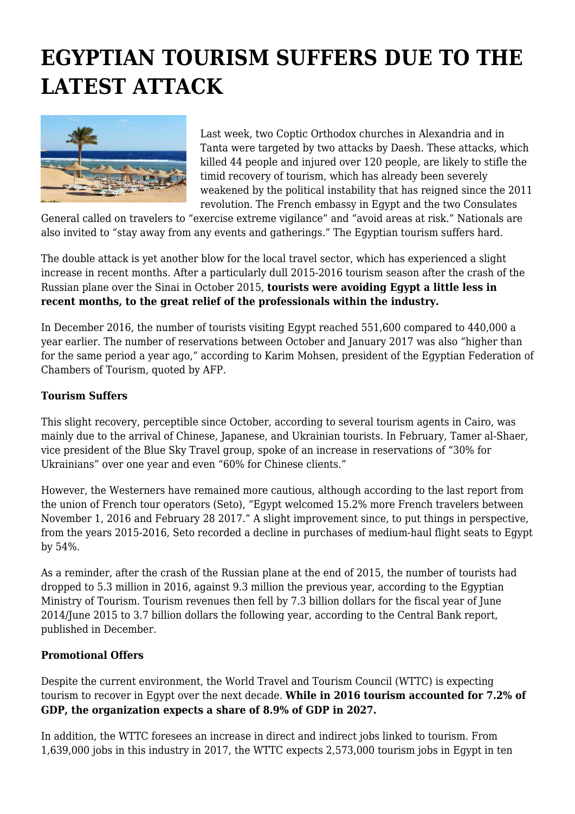## **EGYPTIAN TOURISM SUFFERS DUE TO THE LATEST ATTACK**



Last week, two Coptic Orthodox churches in Alexandria and in Tanta were targeted by two attacks by Daesh. These attacks, which killed 44 people and injured over 120 people, are likely to stifle the timid recovery of tourism, which has already been severely weakened by the political instability that has reigned since the 2011 revolution. The French embassy in Egypt and the two Consulates

General called on travelers to "exercise extreme vigilance" and "avoid areas at risk." Nationals are also invited to "stay away from any events and gatherings." The Egyptian tourism suffers hard.

The double attack is yet another blow for the local travel sector, which has experienced a slight increase in recent months. After a particularly dull 2015-2016 tourism season after the crash of the Russian plane over the Sinai in October 2015, **tourists were avoiding Egypt a little less in recent months, to the great relief of the professionals within the industry.**

In December 2016, the number of tourists visiting Egypt reached 551,600 compared to 440,000 a year earlier. The number of reservations between October and January 2017 was also "higher than for the same period a year ago," according to Karim Mohsen, president of the Egyptian Federation of Chambers of Tourism, quoted by AFP.

## **Tourism Suffers**

This slight recovery, perceptible since October, according to several tourism agents in Cairo, was mainly due to the arrival of Chinese, Japanese, and Ukrainian tourists. In February, Tamer al-Shaer, vice president of the Blue Sky Travel group, spoke of an increase in reservations of "30% for Ukrainians" over one year and even "60% for Chinese clients."

However, the Westerners have remained more cautious, although according to the last report from the union of French tour operators (Seto), "Egypt welcomed 15.2% more French travelers between November 1, 2016 and February 28 2017." A slight improvement since, to put things in perspective, from the years 2015-2016, Seto recorded a decline in purchases of medium-haul flight seats to Egypt by 54%.

As a reminder, after the crash of the Russian plane at the end of 2015, the number of tourists had dropped to 5.3 million in 2016, against 9.3 million the previous year, according to the Egyptian Ministry of Tourism. Tourism revenues then fell by 7.3 billion dollars for the fiscal year of June 2014/June 2015 to 3.7 billion dollars the following year, according to the Central Bank report, published in December.

## **Promotional Offers**

Despite the current environment, the World Travel and Tourism Council (WTTC) is expecting tourism to recover in Egypt over the next decade. **While in 2016 tourism accounted for 7.2% of GDP, the organization expects a share of 8.9% of GDP in 2027.**

In addition, the WTTC foresees an increase in direct and indirect jobs linked to tourism. From 1,639,000 jobs in this industry in 2017, the WTTC expects 2,573,000 tourism jobs in Egypt in ten